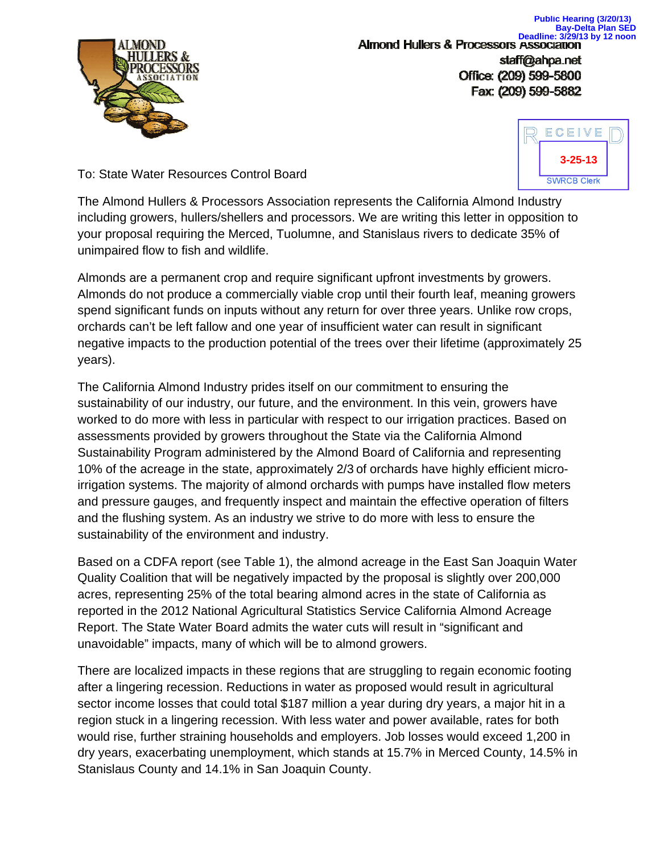

**Public Hearing (3/20/13) Bay-Delta Plan SED Deadline: 3/29/13 by 12 noon**<br>**Almond Hullers & Processors Association** staff@ahpa.net Office: (209) 599-5800 Fax: (209) 599-5882



To: State Water Resources Control Board

The Almond Hullers & Processors Association represents the California Almond Industry including growers, hullers/shellers and processors. We are writing this letter in opposition to your proposal requiring the Merced, Tuolumne, and Stanislaus rivers to dedicate 35% of unimpaired flow to fish and wildlife.

Almonds are a permanent crop and require significant upfront investments by growers. Almonds do not produce a commercially viable crop until their fourth leaf, meaning growers spend significant funds on inputs without any return for over three years. Unlike row crops, orchards can't be left fallow and one year of insufficient water can result in significant negative impacts to the production potential of the trees over their lifetime (approximately 25 years).

The California Almond Industry prides itself on our commitment to ensuring the sustainability of our industry, our future, and the environment. In this vein, growers have worked to do more with less in particular with respect to our irrigation practices. Based on assessments provided by growers throughout the State via the California Almond Sustainability Program administered by the Almond Board of California and representing 10% of the acreage in the state, approximately 2/3 of orchards have highly efficient microirrigation systems. The majority of almond orchards with pumps have installed flow meters and pressure gauges, and frequently inspect and maintain the effective operation of filters and the flushing system. As an industry we strive to do more with less to ensure the sustainability of the environment and industry.

Based on a CDFA report (see Table 1), the almond acreage in the East San Joaquin Water Quality Coalition that will be negatively impacted by the proposal is slightly over 200,000 acres, representing 25% of the total bearing almond acres in the state of California as reported in the 2012 National Agricultural Statistics Service California Almond Acreage Report. The State Water Board admits the water cuts will result in "significant and unavoidable" impacts, many of which will be to almond growers.

There are localized impacts in these regions that are struggling to regain economic footing after a lingering recession. Reductions in water as proposed would result in agricultural sector income losses that could total \$187 million a year during dry years, a major hit in a region stuck in a lingering recession. With less water and power available, rates for both would rise, further straining households and employers. Job losses would exceed 1,200 in dry years, exacerbating unemployment, which stands at 15.7% in Merced County, 14.5% in Stanislaus County and 14.1% in San Joaquin County.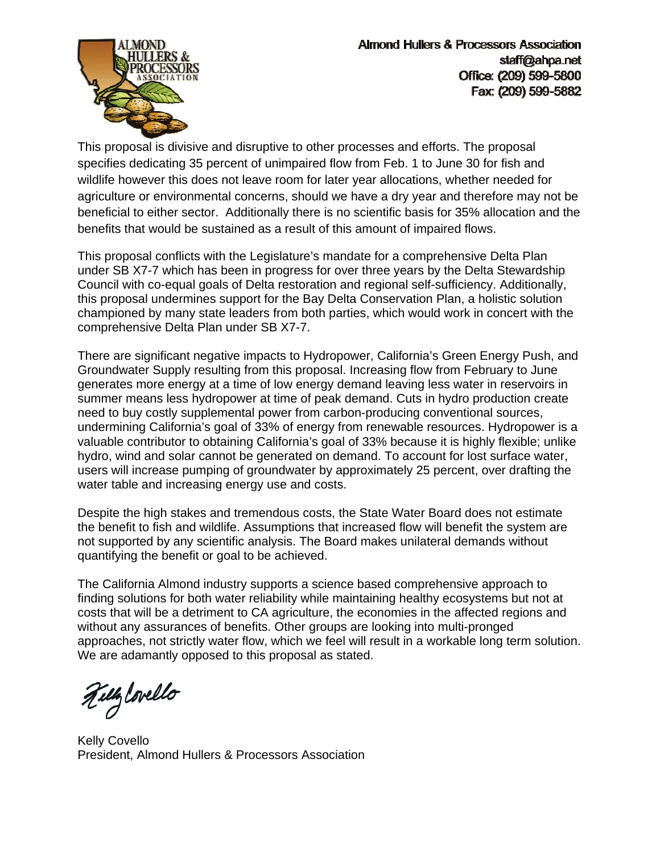

This proposal is divisive and disruptive to other processes and efforts. The proposal specifies dedicating 35 percent of unimpaired flow from Feb. 1 to June 30 for fish and wildlife however this does not leave room for later year allocations, whether needed for agriculture or environmental concerns, should we have a dry year and therefore may not be beneficial to either sector. Additionally there is no scientific basis for 35% allocation and the benefits that would be sustained as a result of this amount of impaired flows.

This proposal conflicts with the Legislature's mandate for a comprehensive Delta Plan under SB X7-7 which has been in progress for over three years by the Delta Stewardship Council with co-equal goals of Delta restoration and regional self-sufficiency. Additionally, this proposal undermines support for the Bay Delta Conservation Plan, a holistic solution championed by many state leaders from both parties, which would work in concert with the comprehensive Delta Plan under SB X7-7.

There are significant negative impacts to Hydropower, California's Green Energy Push, and Groundwater Supply resulting from this proposal. Increasing flow from February to June generates more energy at a time of low energy demand leaving less water in reservoirs in summer means less hydropower at time of peak demand. Cuts in hydro production create need to buy costly supplemental power from carbon-producing conventional sources, undermining California's goal of 33% of energy from renewable resources. Hydropower is a valuable contributor to obtaining California's goal of 33% because it is highly flexible; unlike hydro, wind and solar cannot be generated on demand. To account for lost surface water, users will increase pumping of groundwater by approximately 25 percent, over drafting the water table and increasing energy use and costs.

Despite the high stakes and tremendous costs, the State Water Board does not estimate the benefit to fish and wildlife. Assumptions that increased flow will benefit the system are not supported by any scientific analysis. The Board makes unilateral demands without quantifying the benefit or goal to be achieved.

The California Almond industry supports a science based comprehensive approach to finding solutions for both water reliability while maintaining healthy ecosystems but not at costs that will be a detriment to CA agriculture, the economies in the affected regions and without any assurances of benefits. Other groups are looking into multi-pronged approaches, not strictly water flow, which we feel will result in a workable long term solution. We are adamantly opposed to this proposal as stated.

Tillylovello

Kelly Covello President, Almond Hullers & Processors Association